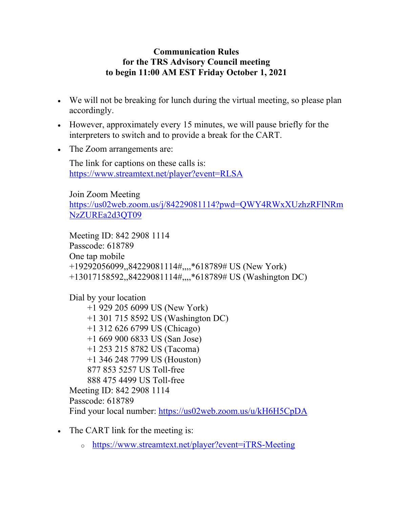## **Communication Rules for the TRS Advisory Council meeting to begin 11:00 AM EST Friday October 1, 2021**

- We will not be breaking for lunch during the virtual meeting, so please plan accordingly.
- However, approximately every 15 minutes, we will pause briefly for the interpreters to switch and to provide a break for the CART.
- The Zoom arrangements are:

The link for captions on these calls is: <https://www.streamtext.net/player?event=RLSA>

Join Zoom Meeting [https://us02web.zoom.us/j/84229081114?pwd=QWY4RWxXUzhzRFlNRm](https://us02web.zoom.us/j/84229081114?pwd=QWY4RWxXUzhzRFlNRmNzZUREa2d3QT09) [NzZUREa2d3QT09](https://us02web.zoom.us/j/84229081114?pwd=QWY4RWxXUzhzRFlNRmNzZUREa2d3QT09)

Meeting ID: 842 2908 1114 Passcode: 618789 One tap mobile +19292056099,,84229081114#,,,,\*618789# US (New York) +13017158592,,84229081114#,,,,\*618789# US (Washington DC)

Dial by your location +1 929 205 6099 US (New York) +1 301 715 8592 US (Washington DC) +1 312 626 6799 US (Chicago) +1 669 900 6833 US (San Jose) +1 253 215 8782 US (Tacoma) +1 346 248 7799 US (Houston) 877 853 5257 US Toll-free 888 475 4499 US Toll-free Meeting ID: 842 2908 1114 Passcode: 618789 Find your local number:<https://us02web.zoom.us/u/kH6H5CpDA>

- The CART link for the meeting is:
	- <sup>o</sup> <https://www.streamtext.net/player?event=iTRS-Meeting>